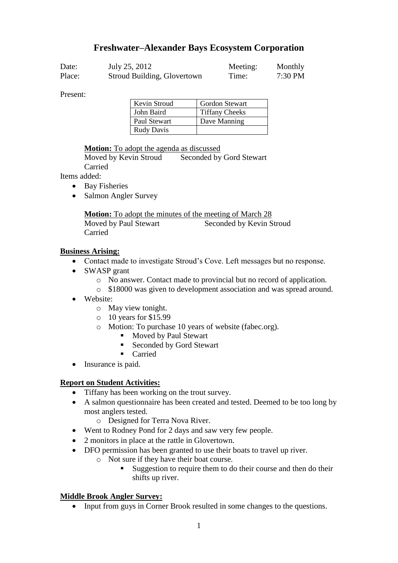# **Freshwater–Alexander Bays Ecosystem Corporation**

| Date:  | July 25, 2012               | Meeting: | Monthly |
|--------|-----------------------------|----------|---------|
| Place: | Stroud Building, Glovertown | Time:    | 7:30 PM |

Present:

| Kevin Stroud      | <b>Gordon Stewart</b> |
|-------------------|-----------------------|
| John Baird        | <b>Tiffany Cheeks</b> |
| Paul Stewart      | Dave Manning          |
| <b>Rudy Davis</b> |                       |

#### **Motion:** To adopt the agenda as discussed

Moved by Kevin Stroud Seconded by Gord Stewart Carried

Items added:

- Bay Fisheries
- Salmon Angler Survey

**Motion:** To adopt the minutes of the meeting of March 28 Moved by Paul Stewart Seconded by Kevin Stroud Carried

#### **Business Arising:**

- Contact made to investigate Stroud's Cove. Left messages but no response.
- SWASP grant
	- o No answer. Contact made to provincial but no record of application.
	- o \$18000 was given to development association and was spread around.
- Website:
	- o May view tonight.
	- o 10 years for \$15.99
	- o Motion: To purchase 10 years of website (fabec.org).
		- Moved by Paul Stewart
		- Seconded by Gord Stewart
		- Carried
- Insurance is paid.

# **Report on Student Activities:**

- Tiffany has been working on the trout survey.
- A salmon questionnaire has been created and tested. Deemed to be too long by most anglers tested.
	- o Designed for Terra Nova River.
- Went to Rodney Pond for 2 days and saw very few people.
- 2 monitors in place at the rattle in Glovertown.
- DFO permission has been granted to use their boats to travel up river.
	- o Not sure if they have their boat course.
		- Suggestion to require them to do their course and then do their shifts up river.

#### **Middle Brook Angler Survey:**

• Input from guys in Corner Brook resulted in some changes to the questions.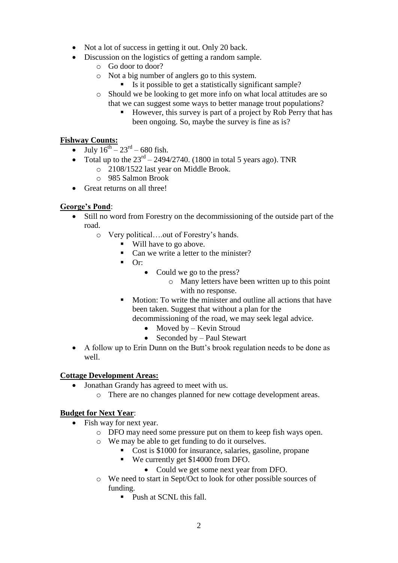- Not a lot of success in getting it out. Only 20 back.
- Discussion on the logistics of getting a random sample.
	- o Go door to door?
	- o Not a big number of anglers go to this system.
		- $\blacksquare$  Is it possible to get a statistically significant sample?
	- o Should we be looking to get more info on what local attitudes are so that we can suggest some ways to better manage trout populations?
		- However, this survey is part of a project by Rob Perry that has been ongoing. So, maybe the survey is fine as is?

# **Fishway Counts:**

- July  $16^{th} 23^{rd} 680$  fish.
- Total up to the  $23<sup>rd</sup> 2494/2740$ . (1800 in total 5 years ago). TNR
	- o 2108/1522 last year on Middle Brook.
	- o 985 Salmon Brook
- Great returns on all three!

# **George's Pond**:

- Still no word from Forestry on the decommissioning of the outside part of the road.
	- o Very political….out of Forestry's hands.
		- Will have to go above.
		- Can we write a letter to the minister?
		- $Or$ :
			- Could we go to the press?
				- o Many letters have been written up to this point with no response.
		- **Motion:** To write the minister and outline all actions that have been taken. Suggest that without a plan for the decommissioning of the road, we may seek legal advice.
			- $\bullet$  Moved by Kevin Stroud
			- Seconded by Paul Stewart
- A follow up to Erin Dunn on the Butt's brook regulation needs to be done as well.

#### **Cottage Development Areas:**

- Jonathan Grandy has agreed to meet with us.
	- o There are no changes planned for new cottage development areas.

#### **Budget for Next Year**:

- Fish way for next year.
	- o DFO may need some pressure put on them to keep fish ways open.
	- o We may be able to get funding to do it ourselves.
		- Cost is \$1000 for insurance, salaries, gasoline, propane
		- We currently get \$14000 from DFO.
			- Could we get some next year from DFO.
	- o We need to start in Sept/Oct to look for other possible sources of funding.
		- Push at SCNL this fall.